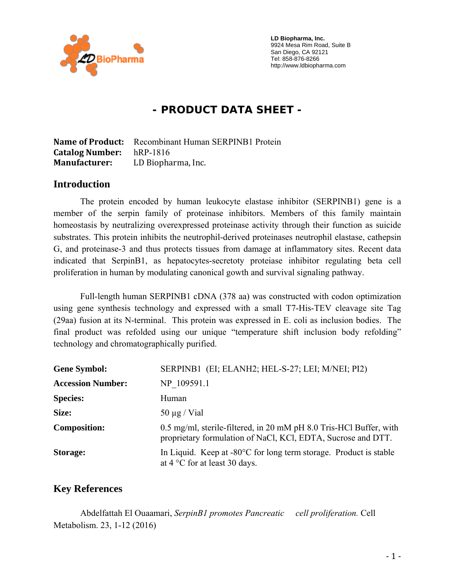

 **LD Biopharma, Inc.**  9924 Mesa Rim Road, Suite B San Diego, CA 92121 Tel: 858-876-8266 http://www.ldbiopharma.com

# **- PRODUCT DATA SHEET -**

**Name of Product:** Recombinant Human SERPINB1 Protein **Catalog Number:** hRP-1816 **Manufacturer:** LD Biopharma, Inc.

#### **Introduction**

The protein encoded by human leukocyte elastase inhibitor (SERPINB1) gene is a member of the serpin family of proteinase inhibitors. Members of this family maintain homeostasis by neutralizing overexpressed proteinase activity through their function as suicide substrates. This protein inhibits the neutrophil-derived proteinases neutrophil elastase, cathepsin G, and proteinase-3 and thus protects tissues from damage at inflammatory sites. Recent data indicated that SerpinB1, as hepatocytes-secretoty proteiase inhibitor regulating beta cell proliferation in human by modulating canonical gowth and survival signaling pathway.

Full-length human SERPINB1 cDNA (378 aa) was constructed with codon optimization using gene synthesis technology and expressed with a small T7-His-TEV cleavage site Tag (29aa) fusion at its N-terminal. This protein was expressed in E. coli as inclusion bodies. The final product was refolded using our unique "temperature shift inclusion body refolding" technology and chromatographically purified.

| <b>Gene Symbol:</b>      | SERPINB1 (EI; ELANH2; HEL-S-27; LEI; M/NEI; PI2)                                                                                   |
|--------------------------|------------------------------------------------------------------------------------------------------------------------------------|
| <b>Accession Number:</b> | NP 109591.1                                                                                                                        |
| <b>Species:</b>          | Human                                                                                                                              |
| Size:                    | $50 \mu g$ / Vial                                                                                                                  |
| <b>Composition:</b>      | 0.5 mg/ml, sterile-filtered, in 20 mM pH 8.0 Tris-HCl Buffer, with<br>proprietary formulation of NaCl, KCl, EDTA, Sucrose and DTT. |
| <b>Storage:</b>          | In Liquid. Keep at -80°C for long term storage. Product is stable<br>at $4^{\circ}$ C for at least 30 days.                        |

### **Key References**

 Abdelfattah El Ouaamari, *SerpinB1 promotes Pancreatic cell proliferation.* Cell Metabolism. 23, 1-12 (2016)